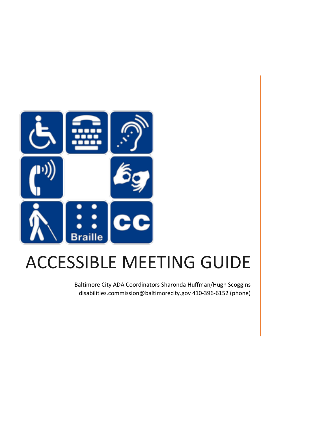

# ACCESSIBLE MEETING GUIDE

Baltimore City ADA Coordinators Sharonda Huffman/Hugh Scoggins disabilities.commission@baltimorecity.gov 410-396-6152 (phone)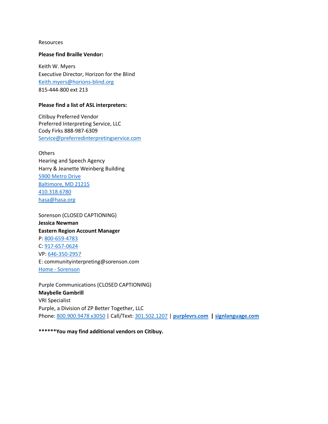#### Resources

### **Please find Braille Vendor:**

Keith W. Myers Executive Director, Horizon for the Blind [Keith.myers@horions-blind.org](mailto:Keith.myers@horions-blind.org) 815-444-800 ext 213

### **Please find a list of ASL interpreters:**

Citibuy Preferred Vendor Preferred Interpreting Service, LLC Cody Firks 888-987-6309 [Service@preferredinterpretingservice.com](mailto:Service@preferredinterpretingservice.com)

**Others** Hearing and Speech Agency Harry & Jeanette Weinberg Building [5900 Metro Drive](x-apple-data-detectors://2/1) [Baltimore, MD 21215](x-apple-data-detectors://2/1) [410.318.6780](tel:410.318.6780) [hasa@hasa.org](mailto:hasa@hasa.org)

Sorenson (CLOSED CAPTIONING) **Jessica Newman Eastern Region Account Manager** P: [800-659-4783](tel:800-659-4783) C: [917-657-0624](tel:917-657-0624) VP: [646-350-2957](tel:646-350-2957) E: communityinterpreting@sorenson.com Home - [Sorenson](https://gcc02.safelinks.protection.outlook.com/?url=https%3A%2F%2Fwww.sorenson.com%2F&data=04%7C01%7CSharonda.Huffman%40baltimorecity.gov%7Cf54b88852159440d4f7208d8fb719eb8%7C312cb126c6ae4fc2800d318e679ce6c7%7C0%7C0%7C637535812692713086%7CUnknown%7CTWFpbGZsb3d8eyJWIjoiMC4wLjAwMDAiLCJQIjoiV2luMzIiLCJBTiI6Ik1haWwiLCJXVCI6Mn0%3D%7C1000&sdata=iBcuWJp7FScg4GIMhAtbLDaLX6pI9A2eJpBmXNBldJU%3D&reserved=0)

Purple Communications (CLOSED CAPTIONING) **Maybelle Gambrill** VRI Specialist Purple, a Division of ZP Better Together, LLC Phone: [800.900.9478 x3050](tel:800.900.9478;3050) | Call/Text: [301.502.1207](tel:301.502.1207) | **[purplevrs.com](https://gcc02.safelinks.protection.outlook.com/?url=https%3A%2F%2Fpurplevrs.com%2F&data=04%7C01%7CSharonda.Huffman%40baltimorecity.gov%7Cf54b88852159440d4f7208d8fb719eb8%7C312cb126c6ae4fc2800d318e679ce6c7%7C0%7C0%7C637535812692713086%7CUnknown%7CTWFpbGZsb3d8eyJWIjoiMC4wLjAwMDAiLCJQIjoiV2luMzIiLCJBTiI6Ik1haWwiLCJXVCI6Mn0%3D%7C1000&sdata=c9lCF7HkgQ%2FPDVXLFhwUqwirdw0W1urfDVu8ptGnoPc%3D&reserved=0) | [signlanguage.com](https://gcc02.safelinks.protection.outlook.com/?url=http%3A%2F%2Fsignlanguage.com%2F&data=04%7C01%7CSharonda.Huffman%40baltimorecity.gov%7Cf54b88852159440d4f7208d8fb719eb8%7C312cb126c6ae4fc2800d318e679ce6c7%7C0%7C0%7C637535812692723045%7CUnknown%7CTWFpbGZsb3d8eyJWIjoiMC4wLjAwMDAiLCJQIjoiV2luMzIiLCJBTiI6Ik1haWwiLCJXVCI6Mn0%3D%7C1000&sdata=wM56oQk5L7gWF68gFLSTpTbreusDAaTv9a6q7gTK0xY%3D&reserved=0)**

**\*\*\*\*\*\*You may find additional vendors on Citibuy.**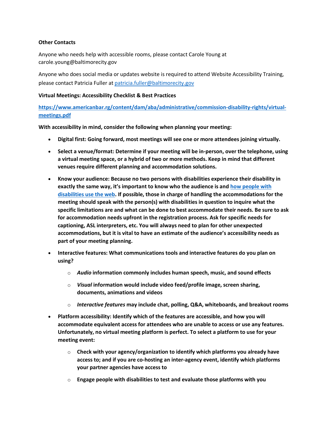## **Other Contacts**

Anyone who needs help with accessible rooms, please contact Carole Young at carole.young@baltimorecity.gov

Anyone who does social media or updates website is required to attend Website Accessibility Training, please contact Patricia Fuller at [patricia.fuller@baltimorecity.gov](mailto:patricia.fuller@baltimorecity.gov)

## **Virtual Meetings: Accessibility Checklist & Best Practices**

**[https://www.americanbar.rg/content/dam/aba/administrative/commission-disability-rights/virtual](https://www.americanbar.org/content/dam/aba/administrative/commission-disability-rights/virtual-meetings.pdf)[meetings.pdf](https://www.americanbar.org/content/dam/aba/administrative/commission-disability-rights/virtual-meetings.pdf)**

**With accessibility in mind, consider the following when planning your meeting:**

- **Digital first: Going forward, most meetings will see one or more attendees joining virtually.**
- **Select a venue/format: Determine if your meeting will be in-person, over the telephone, using a virtual meeting space, or a hybrid of two or more methods. Keep in mind that different venues require different planning and accommodation solutions.**
- **Know your audience: Because no two persons with disabilities experience their disability in exactly the same way, it's important to know who the audience is and [how people with](https://www.w3.org/WAI/people-use-web/)  [disabilities use the web.](https://www.w3.org/WAI/people-use-web/) If possible, those in charge of handling the accommodations for the meeting should speak with the person(s) with disabilities in question to inquire what the specific limitations are and what can be done to best accommodate their needs. Be sure to ask for accommodation needs upfront in the registration process. Ask for specific needs for captioning, ASL interpreters, etc. You will always need to plan for other unexpected accommodations, but it is vital to have an estimate of the audience's accessibility needs as part of your meeting planning.**
- **Interactive features: What communications tools and interactive features do you plan on using?**
	- o *Audio* **information commonly includes human speech, music, and sound effects**
	- o *Visual* **information would include video feed/profile image, screen sharing, documents, animations and videos**
	- o *Interactive features* **may include chat, polling, Q&A, whiteboards, and breakout rooms**
- **Platform accessibility: Identify which of the features are accessible, and how you will accommodate equivalent access for attendees who are unable to access or use any features. Unfortunately, no virtual meeting platform is perfect. To select a platform to use for your meeting event:**
	- o **Check with your agency/organization to identify which platforms you already have access to; and if you are co-hosting an inter-agency event, identify which platforms your partner agencies have access to**
	- o **Engage people with disabilities to test and evaluate those platforms with you**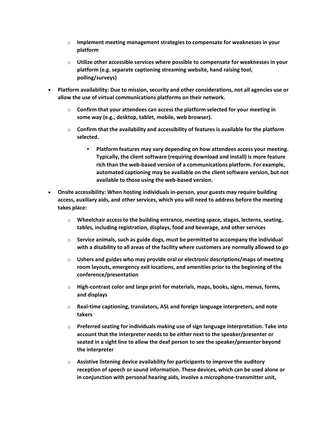- o **Implement meeting management strategies to compensate for weaknesses in your platform**
- o **Utilize other accessible services where possible to compensate for weaknesses in your platform (e.g. separate captioning streaming website, hand raising tool, polling/surveys)**
- **Platform availability: Due to mission, security and other considerations, not all agencies use or allow the use of virtual communications platforms on their network.**
	- o **Confirm that your attendees can access the platform selected for your meeting in some way (e.g., desktop, tablet, mobile, web browser).**
	- o **Confirm that the availability and accessibility of features is available for the platform selected.**
		- **Platform features may vary depending on how attendees access your meeting. Typically, the client software (requiring download and install) is more feature rich than the web-based version of a communications platform. For example, automated captioning may be available on the client software version, but not available to those using the web-based version.**
- **Onsite accessibility: When hosting individuals in-person, your guests may require building access, auxiliary aids, and other services, which you will need to address before the meeting takes place:**
	- o **Wheelchair access to the building entrance, meeting space, stages, lecterns, seating, tables, including registration, displays, food and beverage, and other services**
	- o **Service animals, such as guide dogs, must be permitted to accompany the individual with a disability to all areas of the facility where customers are normally allowed to go**
	- o **Ushers and guides who may provide oral or electronic descriptions/maps of meeting room layouts, emergency exit locations, and amenities prior to the beginning of the conference/presentation**
	- o **High-contrast color and large print for materials, maps, books, signs, menus, forms, and displays**
	- o **Real-time captioning, translators, ASL and foreign language interpreters, and note takers**
	- o **Preferred seating for individuals making use of sign language interpretation. Take into account that the interpreter needs to be either next to the speaker/presenter or seated in a sight line to allow the deaf person to see the speaker/presenter beyond the interpreter**
	- o **Assistive listening device availability for participants to improve the auditory reception of speech or sound information. These devices, which can be used alone or in conjunction with personal hearing aids, involve a microphone-transmitter unit,**